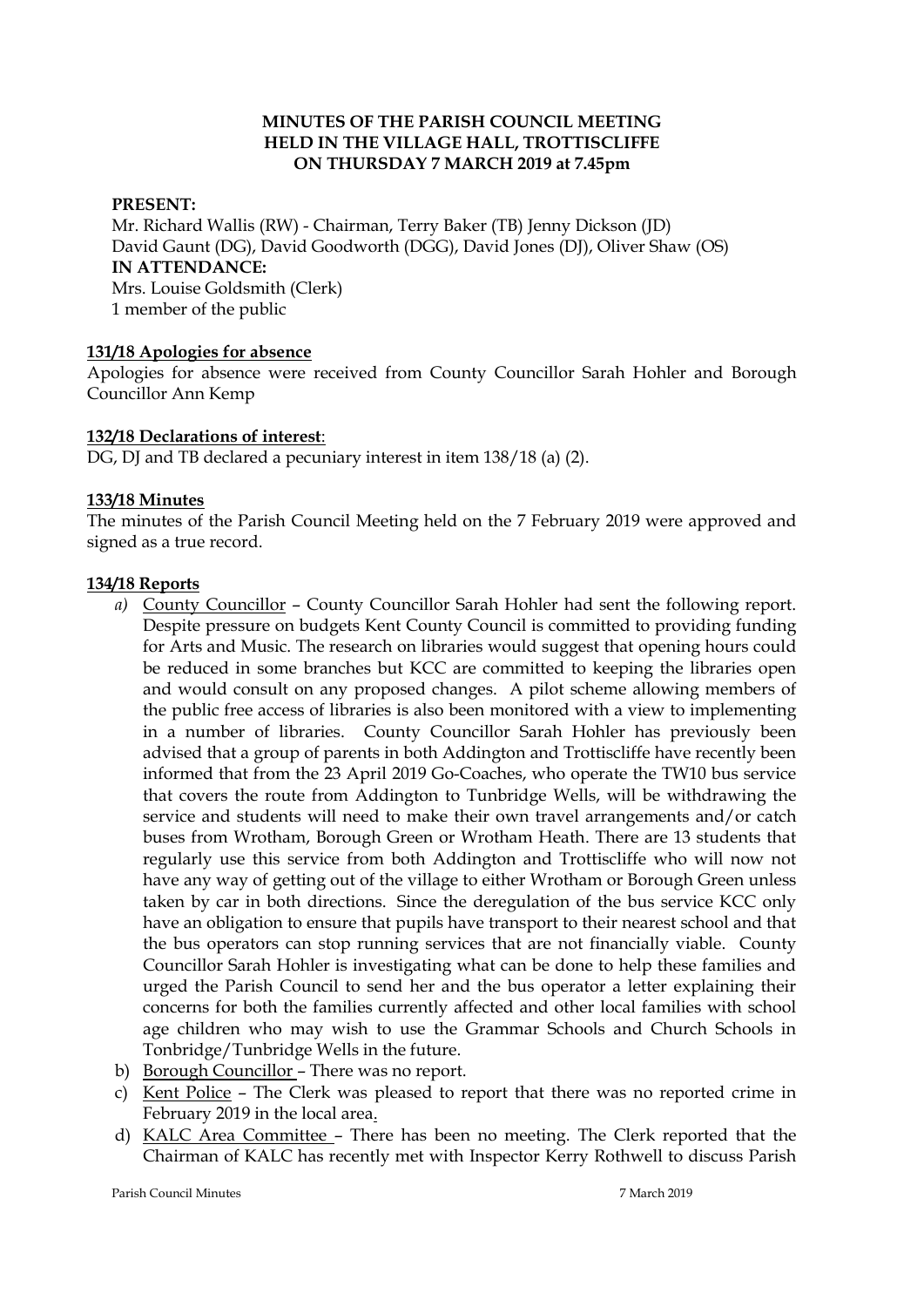#### **MINUTES OF THE PARISH COUNCIL MEETING HELD IN THE VILLAGE HALL, TROTTISCLIFFE ON THURSDAY 7 MARCH 2019 at 7.45pm**

#### **PRESENT:**

Mr. Richard Wallis (RW) - Chairman, Terry Baker (TB) Jenny Dickson (JD) David Gaunt (DG), David Goodworth (DGG), David Jones (DJ), Oliver Shaw (OS) **IN ATTENDANCE:**  Mrs. Louise Goldsmith (Clerk) 1 member of the public

#### **131/18 Apologies for absence**

Apologies for absence were received from County Councillor Sarah Hohler and Borough Councillor Ann Kemp

#### **132/18 Declarations of interest**:

DG, DJ and TB declared a pecuniary interest in item 138/18 (a) (2).

#### **133/18 Minutes**

The minutes of the Parish Council Meeting held on the 7 February 2019 were approved and signed as a true record.

#### **134/18 Reports**

- *a)* County Councillor County Councillor Sarah Hohler had sent the following report. Despite pressure on budgets Kent County Council is committed to providing funding for Arts and Music. The research on libraries would suggest that opening hours could be reduced in some branches but KCC are committed to keeping the libraries open and would consult on any proposed changes. A pilot scheme allowing members of the public free access of libraries is also been monitored with a view to implementing in a number of libraries. County Councillor Sarah Hohler has previously been advised that a group of parents in both Addington and Trottiscliffe have recently been informed that from the 23 April 2019 Go-Coaches, who operate the TW10 bus service that covers the route from Addington to Tunbridge Wells, will be withdrawing the service and students will need to make their own travel arrangements and/or catch buses from Wrotham, Borough Green or Wrotham Heath. There are 13 students that regularly use this service from both Addington and Trottiscliffe who will now not have any way of getting out of the village to either Wrotham or Borough Green unless taken by car in both directions. Since the deregulation of the bus service KCC only have an obligation to ensure that pupils have transport to their nearest school and that the bus operators can stop running services that are not financially viable. County Councillor Sarah Hohler is investigating what can be done to help these families and urged the Parish Council to send her and the bus operator a letter explaining their concerns for both the families currently affected and other local families with school age children who may wish to use the Grammar Schools and Church Schools in Tonbridge/Tunbridge Wells in the future.
- b) Borough Councillor There was no report.
- c) Kent Police The Clerk was pleased to report that there was no reported crime in February 2019 in the local area.
- d) KALC Area Committee There has been no meeting. The Clerk reported that the Chairman of KALC has recently met with Inspector Kerry Rothwell to discuss Parish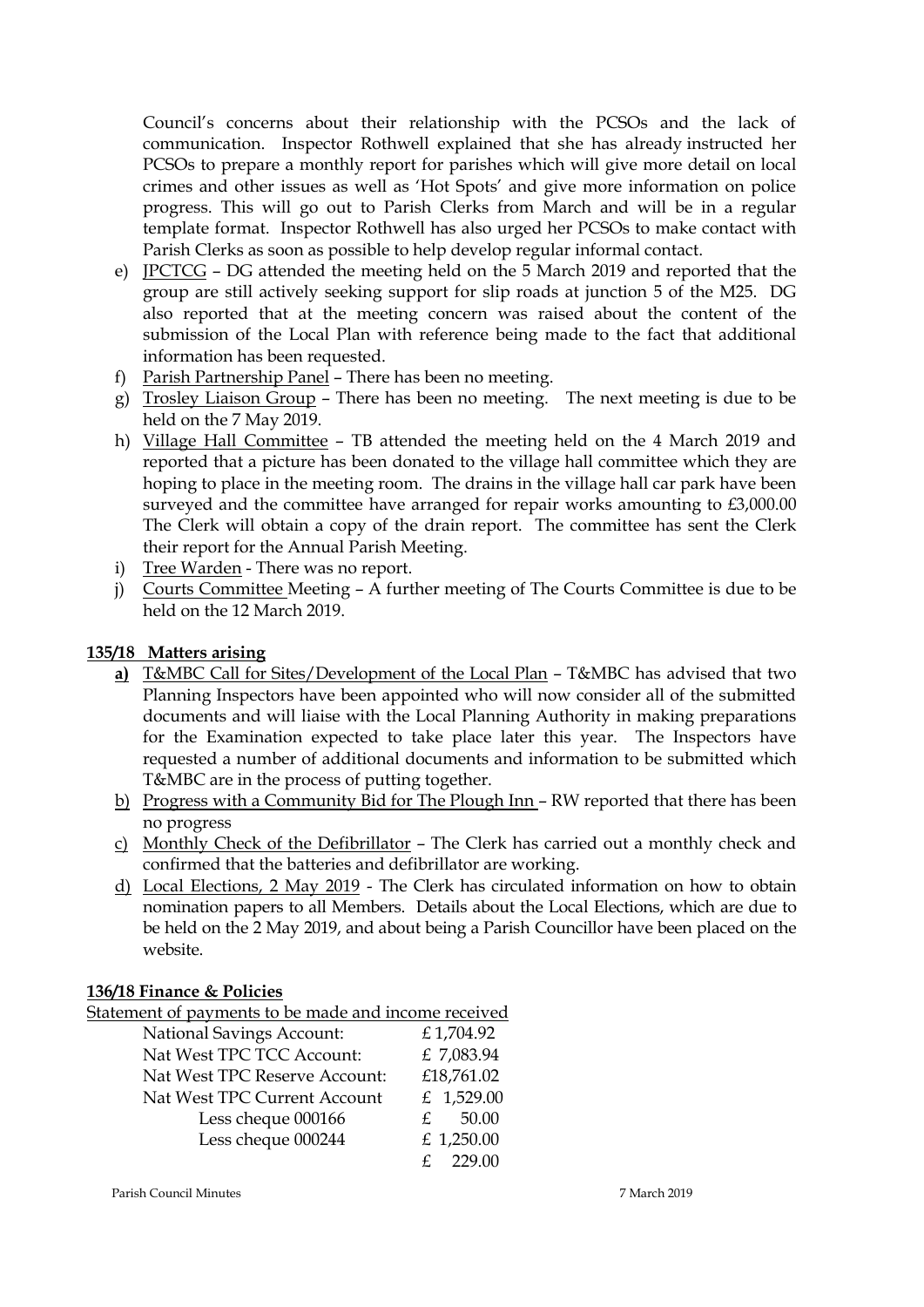Council's concerns about their relationship with the PCSOs and the lack of communication. Inspector Rothwell explained that she has already instructed her PCSOs to prepare a monthly report for parishes which will give more detail on local crimes and other issues as well as 'Hot Spots' and give more information on police progress. This will go out to Parish Clerks from March and will be in a regular template format. Inspector Rothwell has also urged her PCSOs to make contact with Parish Clerks as soon as possible to help develop regular informal contact.

- e) JPCTCG DG attended the meeting held on the 5 March 2019 and reported that the group are still actively seeking support for slip roads at junction 5 of the M25. DG also reported that at the meeting concern was raised about the content of the submission of the Local Plan with reference being made to the fact that additional information has been requested.
- f) Parish Partnership Panel There has been no meeting.
- g) Trosley Liaison Group There has been no meeting. The next meeting is due to be held on the 7 May 2019.
- h) Village Hall Committee TB attended the meeting held on the 4 March 2019 and reported that a picture has been donated to the village hall committee which they are hoping to place in the meeting room. The drains in the village hall car park have been surveyed and the committee have arranged for repair works amounting to £3,000.00 The Clerk will obtain a copy of the drain report. The committee has sent the Clerk their report for the Annual Parish Meeting.
- i) Tree Warden There was no report.
- j) Courts Committee Meeting A further meeting of The Courts Committee is due to be held on the 12 March 2019.

## **135/18 Matters arising**

- **a)** T&MBC Call for Sites/Development of the Local Plan T&MBC has advised that two Planning Inspectors have been appointed who will now consider all of the submitted documents and will liaise with the Local Planning Authority in making preparations for the Examination expected to take place later this year. The Inspectors have requested a number of additional documents and information to be submitted which T&MBC are in the process of putting together.
- b) Progress with a Community Bid for The Plough Inn RW reported that there has been no progress
- c) Monthly Check of the Defibrillator The Clerk has carried out a monthly check and confirmed that the batteries and defibrillator are working.
- d) Local Elections, 2 May 2019 The Clerk has circulated information on how to obtain nomination papers to all Members. Details about the Local Elections, which are due to be held on the 2 May 2019, and about being a Parish Councillor have been placed on the website.

### **136/18 Finance & Policies**

Statement of payments to be made and income received

| <b>National Savings Account:</b> | £1,704.92   |
|----------------------------------|-------------|
| Nat West TPC TCC Account:        | £ 7,083.94  |
| Nat West TPC Reserve Account:    | £18,761.02  |
| Nat West TPC Current Account     | £ 1,529.00  |
| Less cheque 000166               | 50.00<br>£. |
| Less cheque 000244               | £ 1,250.00  |
|                                  | 229.00      |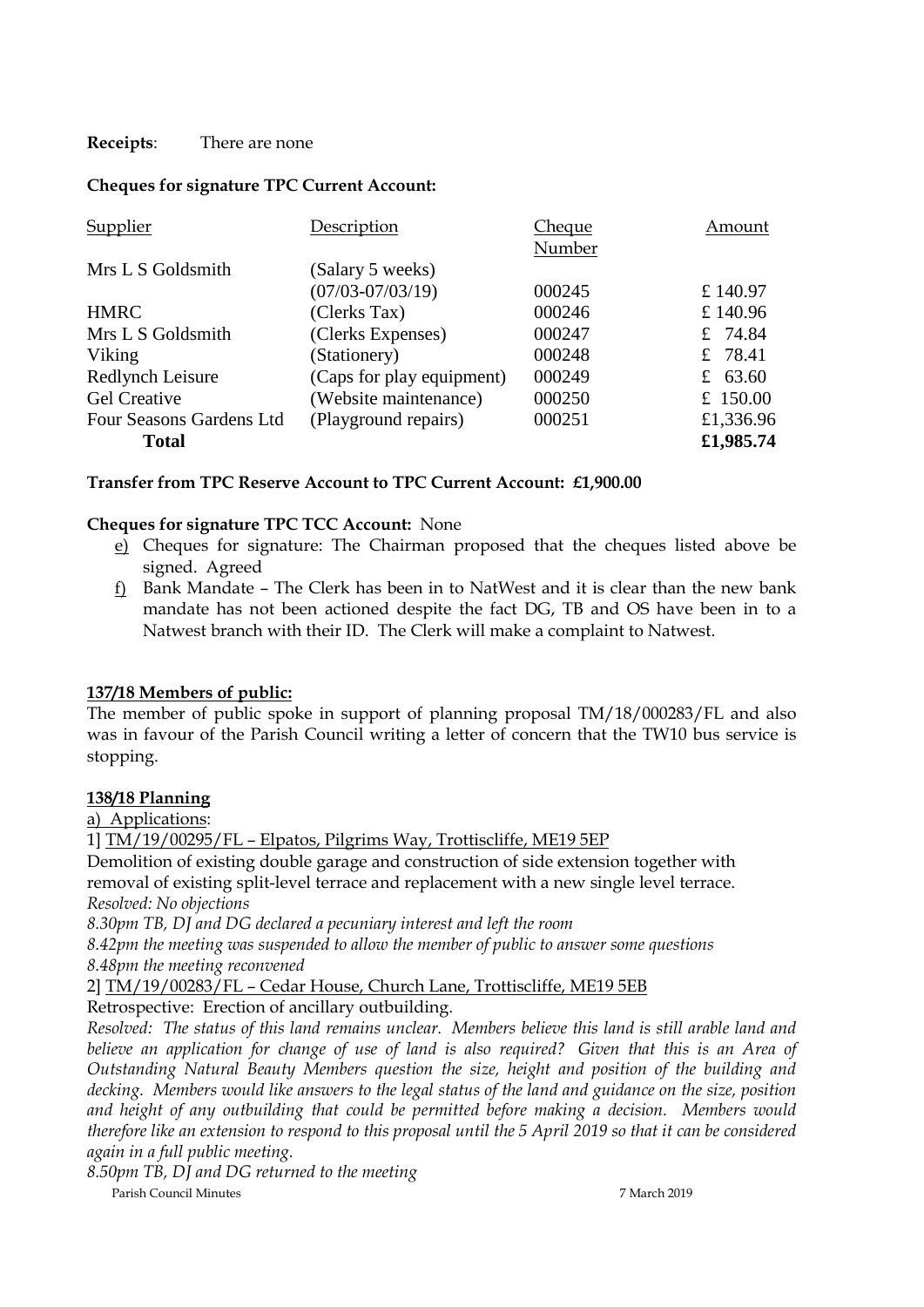## **Receipts**: There are none

## **Cheques for signature TPC Current Account:**

| Supplier                 | Description               | <b>Cheque</b> | Amount     |
|--------------------------|---------------------------|---------------|------------|
|                          |                           | Number        |            |
| Mrs L S Goldsmith        | (Salary 5 weeks)          |               |            |
|                          | $(07/03 - 07/03/19)$      | 000245        | £ 140.97   |
| <b>HMRC</b>              | (Clerks Tax)              | 000246        | £140.96    |
| Mrs L S Goldsmith        | (Clerks Expenses)         | 000247        | £ 74.84    |
| Viking                   | (Stationery)              | 000248        | £ 78.41    |
| Redlynch Leisure         | (Caps for play equipment) | 000249        | £ 63.60    |
| <b>Gel Creative</b>      | (Website maintenance)     | 000250        | £ $150.00$ |
| Four Seasons Gardens Ltd | (Playground repairs)      | 000251        | £1,336.96  |
| <b>Total</b>             |                           |               | £1,985.74  |

## **Transfer from TPC Reserve Account to TPC Current Account: £1,900.00**

### **Cheques for signature TPC TCC Account:** None

- e) Cheques for signature: The Chairman proposed that the cheques listed above be signed. Agreed
- f) Bank Mandate The Clerk has been in to NatWest and it is clear than the new bank mandate has not been actioned despite the fact DG, TB and OS have been in to a Natwest branch with their ID. The Clerk will make a complaint to Natwest.

### **137/18 Members of public:**

The member of public spoke in support of planning proposal TM/18/000283/FL and also was in favour of the Parish Council writing a letter of concern that the TW10 bus service is stopping.

### **138/18 Planning**

a) Applications:

1] TM/19/00295/FL – Elpatos, Pilgrims Way, Trottiscliffe, ME19 5EP

Demolition of existing double garage and construction of side extension together with removal of existing split-level terrace and replacement with a new single level terrace. *Resolved: No objections* 

*8.30pm TB, DJ and DG declared a pecuniary interest and left the room*

*8.42pm the meeting was suspended to allow the member of public to answer some questions 8.48pm the meeting reconvened*

# 2] TM/19/00283/FL – Cedar House, Church Lane, Trottiscliffe, ME19 5EB

Retrospective: Erection of ancillary outbuilding.

*Resolved: The status of this land remains unclear. Members believe this land is still arable land and believe an application for change of use of land is also required? Given that this is an Area of Outstanding Natural Beauty Members question the size, height and position of the building and decking. Members would like answers to the legal status of the land and guidance on the size, position and height of any outbuilding that could be permitted before making a decision. Members would therefore like an extension to respond to this proposal until the 5 April 2019 so that it can be considered again in a full public meeting.*

Parish Council Minutes 7 March 2019 *8.50pm TB, DJ and DG returned to the meeting*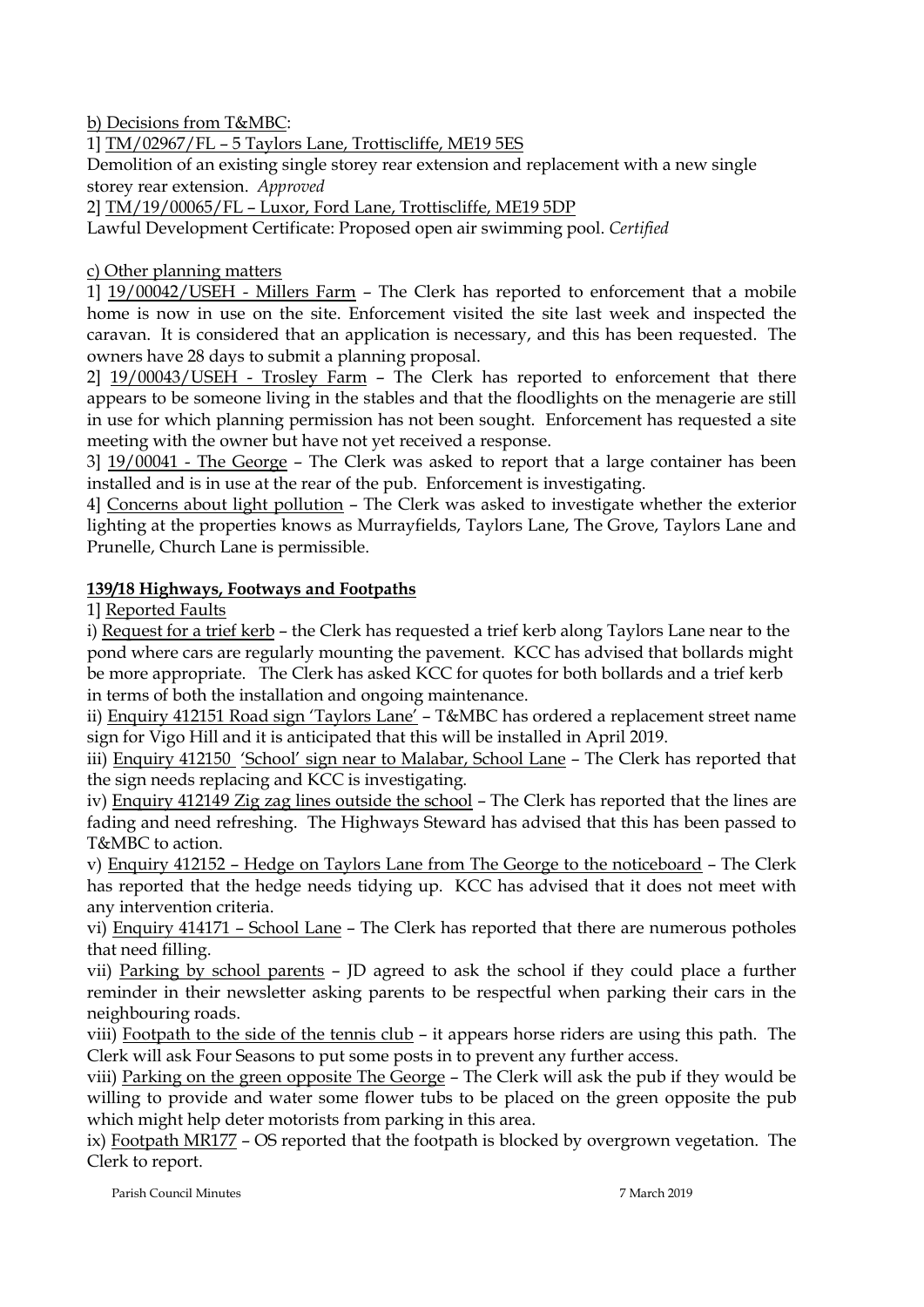b) Decisions from T&MBC:

1] TM/02967/FL – 5 Taylors Lane, Trottiscliffe, ME19 5ES

Demolition of an existing single storey rear extension and replacement with a new single storey rear extension. *Approved*

2] TM/19/00065/FL – Luxor, Ford Lane, Trottiscliffe, ME19 5DP

Lawful Development Certificate: Proposed open air swimming pool. *Certified*

## c) Other planning matters

1] 19/00042/USEH - Millers Farm – The Clerk has reported to enforcement that a mobile home is now in use on the site. Enforcement visited the site last week and inspected the caravan. It is considered that an application is necessary, and this has been requested. The owners have 28 days to submit a planning proposal.

2] 19/00043/USEH - Trosley Farm – The Clerk has reported to enforcement that there appears to be someone living in the stables and that the floodlights on the menagerie are still in use for which planning permission has not been sought. Enforcement has requested a site meeting with the owner but have not yet received a response.

3] 19/00041 - The George – The Clerk was asked to report that a large container has been installed and is in use at the rear of the pub. Enforcement is investigating.

4] Concerns about light pollution – The Clerk was asked to investigate whether the exterior lighting at the properties knows as Murrayfields, Taylors Lane, The Grove, Taylors Lane and Prunelle, Church Lane is permissible.

## **139/18 Highways, Footways and Footpaths**

1] Reported Faults

i) Request for a trief kerb – the Clerk has requested a trief kerb along Taylors Lane near to the pond where cars are regularly mounting the pavement. KCC has advised that bollards might be more appropriate. The Clerk has asked KCC for quotes for both bollards and a trief kerb in terms of both the installation and ongoing maintenance.

ii) Enquiry 412151 Road sign 'Taylors Lane' - T&MBC has ordered a replacement street name sign for Vigo Hill and it is anticipated that this will be installed in April 2019.

iii) Enquiry 412150 'School' sign near to Malabar, School Lane – The Clerk has reported that the sign needs replacing and KCC is investigating.

iv) Enquiry 412149 Zig zag lines outside the school – The Clerk has reported that the lines are fading and need refreshing. The Highways Steward has advised that this has been passed to T&MBC to action.

v) Enquiry 412152 – Hedge on Taylors Lane from The George to the noticeboard – The Clerk has reported that the hedge needs tidying up. KCC has advised that it does not meet with any intervention criteria.

vi) Enquiry 414171 – School Lane – The Clerk has reported that there are numerous potholes that need filling.

vii) Parking by school parents – JD agreed to ask the school if they could place a further reminder in their newsletter asking parents to be respectful when parking their cars in the neighbouring roads.

viii) Footpath to the side of the tennis club – it appears horse riders are using this path. The Clerk will ask Four Seasons to put some posts in to prevent any further access.

viii) Parking on the green opposite The George – The Clerk will ask the pub if they would be willing to provide and water some flower tubs to be placed on the green opposite the pub which might help deter motorists from parking in this area.

ix) Footpath MR177 – OS reported that the footpath is blocked by overgrown vegetation. The Clerk to report.

Parish Council Minutes 7 March 2019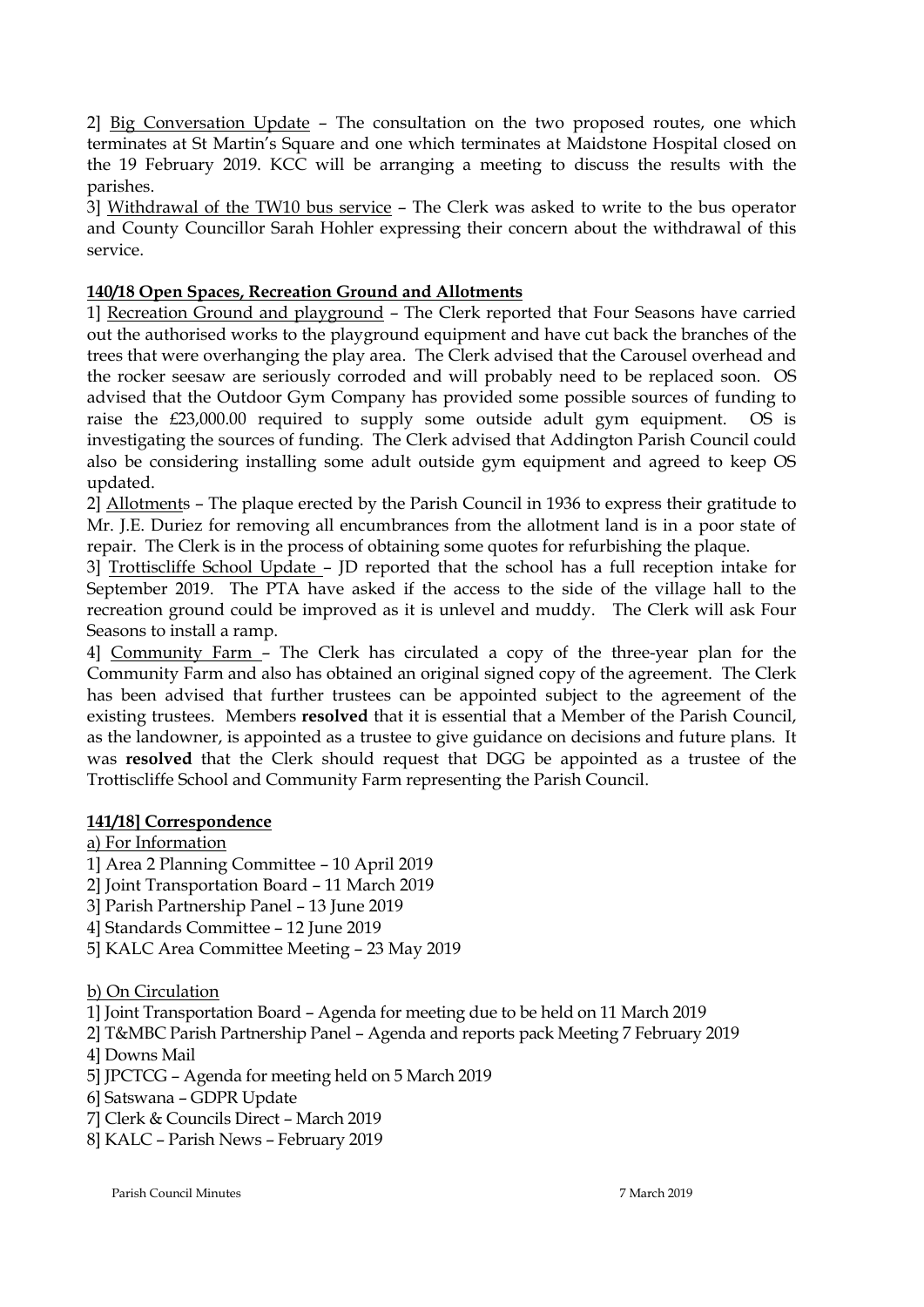2] Big Conversation Update – The consultation on the two proposed routes, one which terminates at St Martin's Square and one which terminates at Maidstone Hospital closed on the 19 February 2019. KCC will be arranging a meeting to discuss the results with the parishes.

3] Withdrawal of the TW10 bus service – The Clerk was asked to write to the bus operator and County Councillor Sarah Hohler expressing their concern about the withdrawal of this service.

# **140/18 Open Spaces, Recreation Ground and Allotments**

1] Recreation Ground and playground – The Clerk reported that Four Seasons have carried out the authorised works to the playground equipment and have cut back the branches of the trees that were overhanging the play area. The Clerk advised that the Carousel overhead and the rocker seesaw are seriously corroded and will probably need to be replaced soon. OS advised that the Outdoor Gym Company has provided some possible sources of funding to raise the £23,000.00 required to supply some outside adult gym equipment. OS is investigating the sources of funding. The Clerk advised that Addington Parish Council could also be considering installing some adult outside gym equipment and agreed to keep OS updated.

2] Allotments – The plaque erected by the Parish Council in 1936 to express their gratitude to Mr. J.E. Duriez for removing all encumbrances from the allotment land is in a poor state of repair. The Clerk is in the process of obtaining some quotes for refurbishing the plaque.

3] Trottiscliffe School Update – JD reported that the school has a full reception intake for September 2019. The PTA have asked if the access to the side of the village hall to the recreation ground could be improved as it is unlevel and muddy. The Clerk will ask Four Seasons to install a ramp.

4] Community Farm – The Clerk has circulated a copy of the three-year plan for the Community Farm and also has obtained an original signed copy of the agreement. The Clerk has been advised that further trustees can be appointed subject to the agreement of the existing trustees. Members **resolved** that it is essential that a Member of the Parish Council, as the landowner, is appointed as a trustee to give guidance on decisions and future plans. It was **resolved** that the Clerk should request that DGG be appointed as a trustee of the Trottiscliffe School and Community Farm representing the Parish Council.

# **141/18] Correspondence**

a) For Information

- 1] Area 2 Planning Committee 10 April 2019
- 2] Joint Transportation Board 11 March 2019
- 3] Parish Partnership Panel 13 June 2019
- 4] Standards Committee 12 June 2019
- 5] KALC Area Committee Meeting 23 May 2019

b) On Circulation

1] Joint Transportation Board – Agenda for meeting due to be held on 11 March 2019

- 2] T&MBC Parish Partnership Panel Agenda and reports pack Meeting 7 February 2019
- 4] Downs Mail
- 5] JPCTCG Agenda for meeting held on 5 March 2019
- 6] Satswana GDPR Update
- 7] Clerk & Councils Direct March 2019
- 8] KALC Parish News February 2019